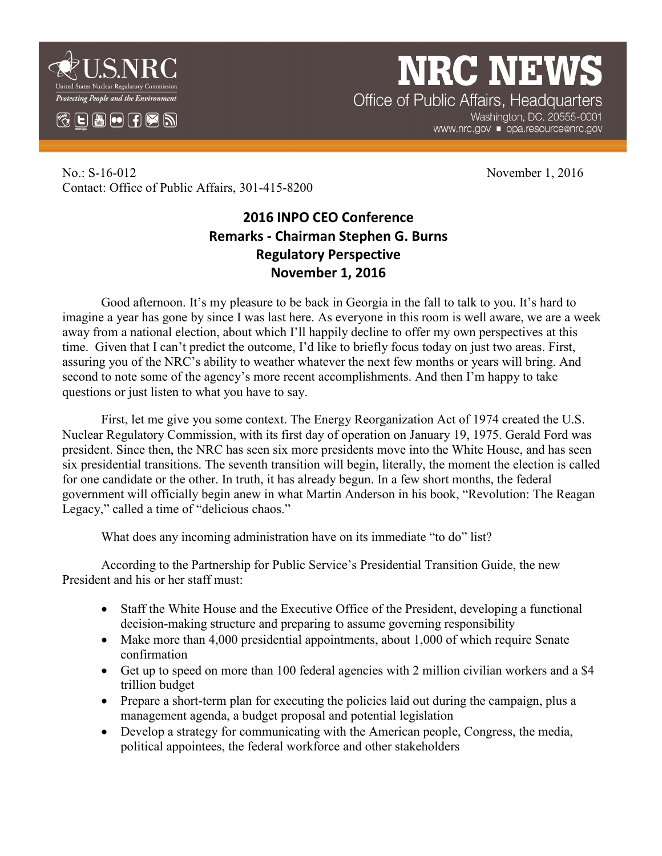

 $\mathbb{C}$   $\mathbb{E}$   $\mathbb{H}$   $\mathbf{\Theta}$   $\mathbb{H}$   $\mathbb{Z}$   $\mathbb{N}$ 

**NRC NEW** Office of Public Affairs, Headquarters

Washington, DC. 20555-0001 www.nrc.gov ■ opa.resource@nrc.gov

No.: S-16-012 November 1, 2016 Contact: Office of Public Affairs, 301-415-8200

## **2016 INPO CEO Conference Remarks - Chairman Stephen G. Burns Regulatory Perspective November 1, 2016**

Good afternoon. It's my pleasure to be back in Georgia in the fall to talk to you. It's hard to imagine a year has gone by since I was last here. As everyone in this room is well aware, we are a week away from a national election, about which I'll happily decline to offer my own perspectives at this time. Given that I can't predict the outcome, I'd like to briefly focus today on just two areas. First, assuring you of the NRC's ability to weather whatever the next few months or years will bring. And second to note some of the agency's more recent accomplishments. And then I'm happy to take questions or just listen to what you have to say.

First, let me give you some context. The Energy Reorganization Act of 1974 created the U.S. Nuclear Regulatory Commission, with its first day of operation on January 19, 1975. Gerald Ford was president. Since then, the NRC has seen six more presidents move into the White House, and has seen six presidential transitions. The seventh transition will begin, literally, the moment the election is called for one candidate or the other. In truth, it has already begun. In a few short months, the federal government will officially begin anew in what Martin Anderson in his book, "Revolution: The Reagan Legacy," called a time of "delicious chaos."

What does any incoming administration have on its immediate "to do" list?

According to the Partnership for Public Service's Presidential Transition Guide, the new President and his or her staff must:

- Staff the White House and the Executive Office of the President, developing a functional decision-making structure and preparing to assume governing responsibility
- Make more than 4,000 presidential appointments, about 1,000 of which require Senate confirmation
- Get up to speed on more than 100 federal agencies with 2 million civilian workers and a \$4 trillion budget
- Prepare a short-term plan for executing the policies laid out during the campaign, plus a management agenda, a budget proposal and potential legislation
- Develop a strategy for communicating with the American people, Congress, the media, political appointees, the federal workforce and other stakeholders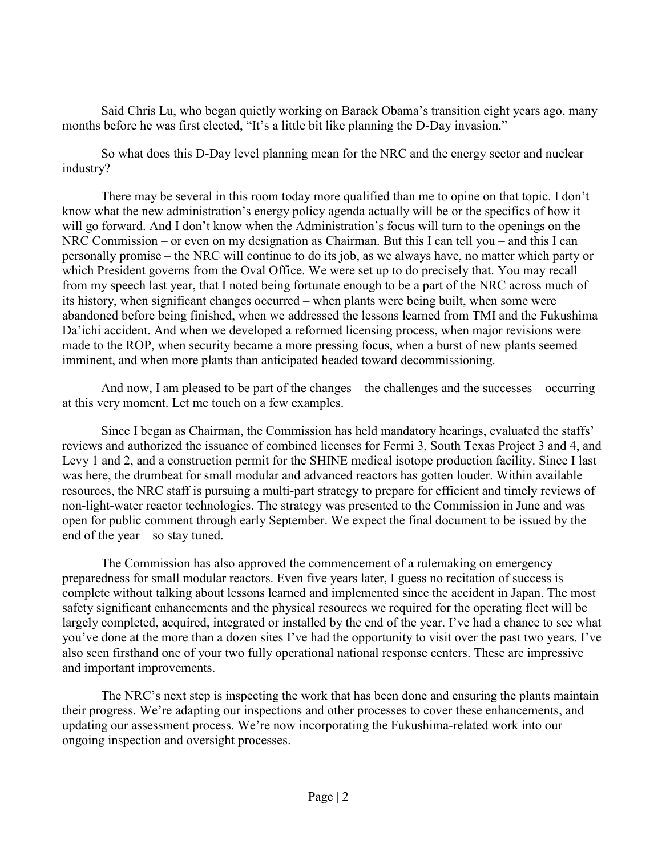Said Chris Lu, who began quietly working on Barack Obama's transition eight years ago, many months before he was first elected, "It's a little bit like planning the D-Day invasion."

So what does this D-Day level planning mean for the NRC and the energy sector and nuclear industry?

There may be several in this room today more qualified than me to opine on that topic. I don't know what the new administration's energy policy agenda actually will be or the specifics of how it will go forward. And I don't know when the Administration's focus will turn to the openings on the NRC Commission – or even on my designation as Chairman. But this I can tell you – and this I can personally promise – the NRC will continue to do its job, as we always have, no matter which party or which President governs from the Oval Office. We were set up to do precisely that. You may recall from my speech last year, that I noted being fortunate enough to be a part of the NRC across much of its history, when significant changes occurred – when plants were being built, when some were abandoned before being finished, when we addressed the lessons learned from TMI and the Fukushima Da'ichi accident. And when we developed a reformed licensing process, when major revisions were made to the ROP, when security became a more pressing focus, when a burst of new plants seemed imminent, and when more plants than anticipated headed toward decommissioning.

And now, I am pleased to be part of the changes – the challenges and the successes – occurring at this very moment. Let me touch on a few examples.

Since I began as Chairman, the Commission has held mandatory hearings, evaluated the staffs' reviews and authorized the issuance of combined licenses for Fermi 3, South Texas Project 3 and 4, and Levy 1 and 2, and a construction permit for the SHINE medical isotope production facility. Since I last was here, the drumbeat for small modular and advanced reactors has gotten louder. Within available resources, the NRC staff is pursuing a multi-part strategy to prepare for efficient and timely reviews of non-light-water reactor technologies. The strategy was presented to the Commission in June and was open for public comment through early September. We expect the final document to be issued by the end of the year – so stay tuned.

The Commission has also approved the commencement of a rulemaking on emergency preparedness for small modular reactors. Even five years later, I guess no recitation of success is complete without talking about lessons learned and implemented since the accident in Japan. The most safety significant enhancements and the physical resources we required for the operating fleet will be largely completed, acquired, integrated or installed by the end of the year. I've had a chance to see what you've done at the more than a dozen sites I've had the opportunity to visit over the past two years. I've also seen firsthand one of your two fully operational national response centers. These are impressive and important improvements.

The NRC's next step is inspecting the work that has been done and ensuring the plants maintain their progress. We're adapting our inspections and other processes to cover these enhancements, and updating our assessment process. We're now incorporating the Fukushima-related work into our ongoing inspection and oversight processes.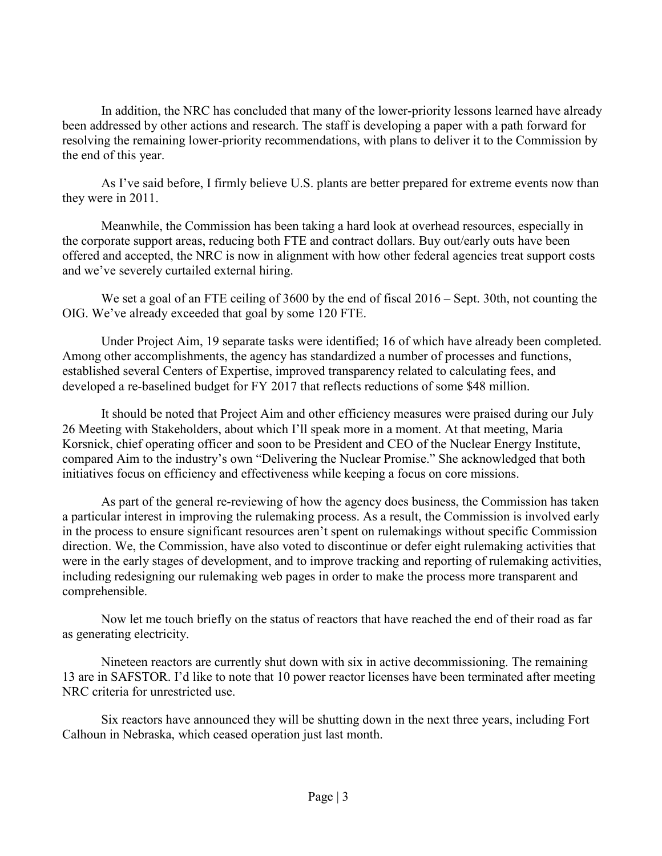In addition, the NRC has concluded that many of the lower-priority lessons learned have already been addressed by other actions and research. The staff is developing a paper with a path forward for resolving the remaining lower-priority recommendations, with plans to deliver it to the Commission by the end of this year.

As I've said before, I firmly believe U.S. plants are better prepared for extreme events now than they were in 2011.

Meanwhile, the Commission has been taking a hard look at overhead resources, especially in the corporate support areas, reducing both FTE and contract dollars. Buy out/early outs have been offered and accepted, the NRC is now in alignment with how other federal agencies treat support costs and we've severely curtailed external hiring.

We set a goal of an FTE ceiling of 3600 by the end of fiscal  $2016$  – Sept. 30th, not counting the OIG. We've already exceeded that goal by some 120 FTE.

Under Project Aim, 19 separate tasks were identified; 16 of which have already been completed. Among other accomplishments, the agency has standardized a number of processes and functions, established several Centers of Expertise, improved transparency related to calculating fees, and developed a re-baselined budget for FY 2017 that reflects reductions of some \$48 million.

It should be noted that Project Aim and other efficiency measures were praised during our July 26 Meeting with Stakeholders, about which I'll speak more in a moment. At that meeting, Maria Korsnick, chief operating officer and soon to be President and CEO of the Nuclear Energy Institute, compared Aim to the industry's own "Delivering the Nuclear Promise." She acknowledged that both initiatives focus on efficiency and effectiveness while keeping a focus on core missions.

As part of the general re-reviewing of how the agency does business, the Commission has taken a particular interest in improving the rulemaking process. As a result, the Commission is involved early in the process to ensure significant resources aren't spent on rulemakings without specific Commission direction. We, the Commission, have also voted to discontinue or defer eight rulemaking activities that were in the early stages of development, and to improve tracking and reporting of rulemaking activities, including redesigning our rulemaking web pages in order to make the process more transparent and comprehensible.

Now let me touch briefly on the status of reactors that have reached the end of their road as far as generating electricity.

Nineteen reactors are currently shut down with six in active decommissioning. The remaining 13 are in SAFSTOR. I'd like to note that 10 power reactor licenses have been terminated after meeting NRC criteria for unrestricted use.

Six reactors have announced they will be shutting down in the next three years, including Fort Calhoun in Nebraska, which ceased operation just last month.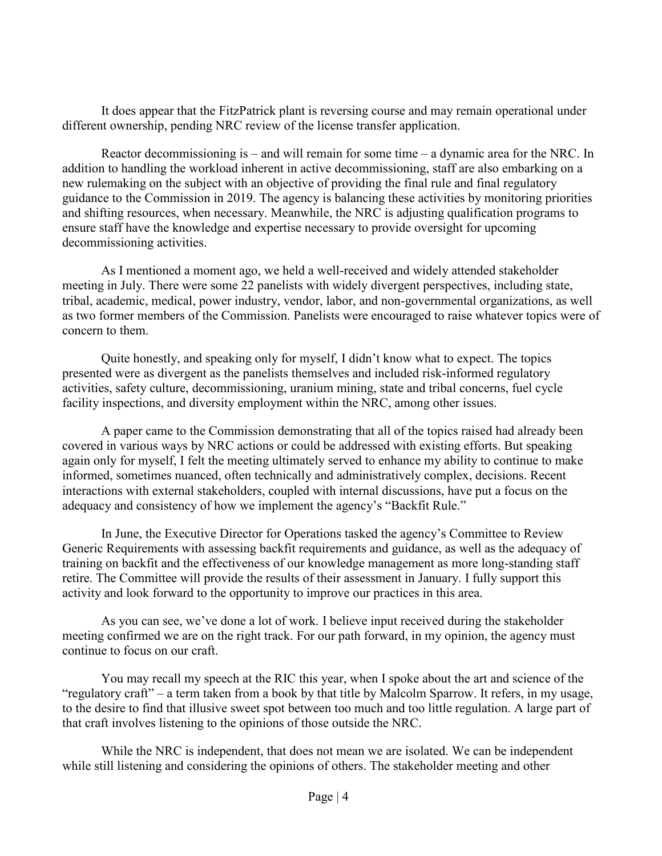It does appear that the FitzPatrick plant is reversing course and may remain operational under different ownership, pending NRC review of the license transfer application.

Reactor decommissioning is – and will remain for some time – a dynamic area for the NRC. In addition to handling the workload inherent in active decommissioning, staff are also embarking on a new rulemaking on the subject with an objective of providing the final rule and final regulatory guidance to the Commission in 2019. The agency is balancing these activities by monitoring priorities and shifting resources, when necessary. Meanwhile, the NRC is adjusting qualification programs to ensure staff have the knowledge and expertise necessary to provide oversight for upcoming decommissioning activities.

As I mentioned a moment ago, we held a well-received and widely attended stakeholder meeting in July. There were some 22 panelists with widely divergent perspectives, including state, tribal, academic, medical, power industry, vendor, labor, and non-governmental organizations, as well as two former members of the Commission. Panelists were encouraged to raise whatever topics were of concern to them.

Quite honestly, and speaking only for myself, I didn't know what to expect. The topics presented were as divergent as the panelists themselves and included risk-informed regulatory activities, safety culture, decommissioning, uranium mining, state and tribal concerns, fuel cycle facility inspections, and diversity employment within the NRC, among other issues.

A paper came to the Commission demonstrating that all of the topics raised had already been covered in various ways by NRC actions or could be addressed with existing efforts. But speaking again only for myself, I felt the meeting ultimately served to enhance my ability to continue to make informed, sometimes nuanced, often technically and administratively complex, decisions. Recent interactions with external stakeholders, coupled with internal discussions, have put a focus on the adequacy and consistency of how we implement the agency's "Backfit Rule."

In June, the Executive Director for Operations tasked the agency's Committee to Review Generic Requirements with assessing backfit requirements and guidance, as well as the adequacy of training on backfit and the effectiveness of our knowledge management as more long-standing staff retire. The Committee will provide the results of their assessment in January. I fully support this activity and look forward to the opportunity to improve our practices in this area.

As you can see, we've done a lot of work. I believe input received during the stakeholder meeting confirmed we are on the right track. For our path forward, in my opinion, the agency must continue to focus on our craft.

You may recall my speech at the RIC this year, when I spoke about the art and science of the "regulatory craft" – a term taken from a book by that title by Malcolm Sparrow. It refers, in my usage, to the desire to find that illusive sweet spot between too much and too little regulation. A large part of that craft involves listening to the opinions of those outside the NRC.

While the NRC is independent, that does not mean we are isolated. We can be independent while still listening and considering the opinions of others. The stakeholder meeting and other